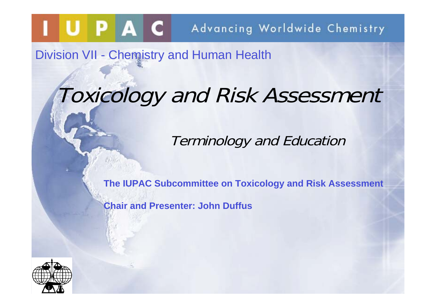Division VII - Chemistry and Human Health

## Toxicology and Risk Assessment

Terminology and Education

**The IUPAC Subcommittee on Toxicology and Risk Assessment**

**Chair and Presenter: John Duffus**

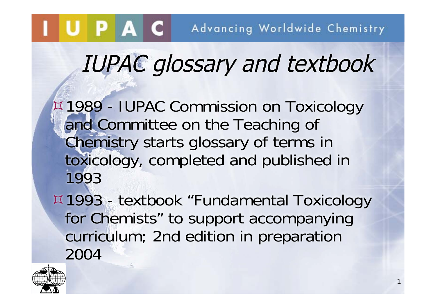# IUPAC glossary and textbook

1989 - IUPAC Commission on Toxicology and Committee on the Teaching of Chemistry starts glossary of terms in toxicology, completed and published in 1993

1993 - textbook "Fundamental Toxicology for Chemists" to support accompanying curriculum; 2nd edition in preparation 2004

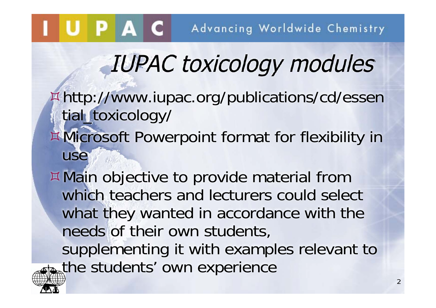# IUPAC toxicology modules

- http://www.iupac.org/publications/cd/essen tial\_toxicology/ Microsoft Powerpoint format for flexibility in
	- use
- Main objective to provide material from which teachers and lecturers could select what they wanted in accordance with the needs of their own students, supplementing it with examples relevant to the students' own experience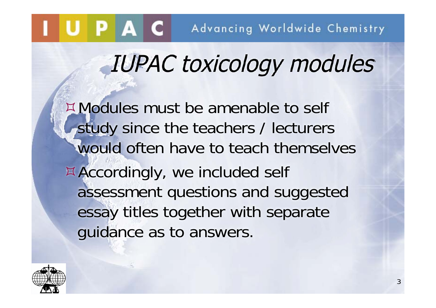# IUPAC toxicology modules

Modules must be amenable to self study since the teachers / lecturers would often have to teach themselves Accordingly, we included self assessment questions and suggested essay titles together with separate guidance as to answers.

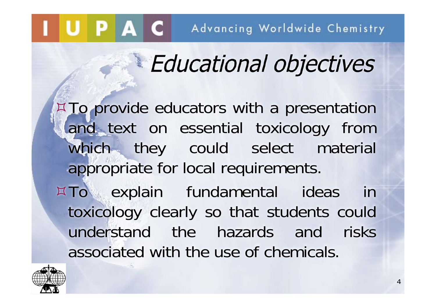## Educational objectives

¤ To provide educators with a presentation and text on essential toxicology from which they could select material appropriate for local requirements.

¤ To explain fundamental ideas in toxicology clearly so that students could understand the hazards and risks associated with the use of chemicals.

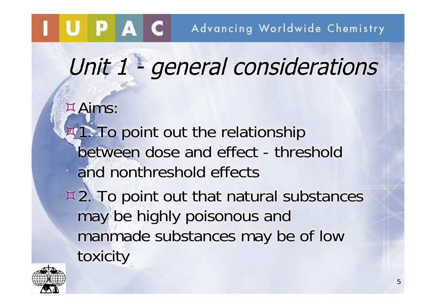Unit 1 - general considerations

Aims:

- **1. To point out the relationship** between dose and effect - threshold and nonthreshold effects
- $\overline{2.7}$  **To point out that natural substances** may be highly poisonous and manmade substances may be of low toxicity

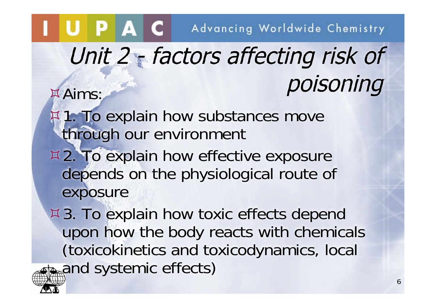# Unit 2 - factors affecting risk of **Exams:** Poisoning

- **1. To explain how substances move** through our environment
- ¤ 2. To explain how effective exposure depends on the physiological route of exposure

¤ 3. To explain how toxic effects depend upon how the body reacts with chemicals (toxicokinetics and toxicodynamics, local and systemic effects)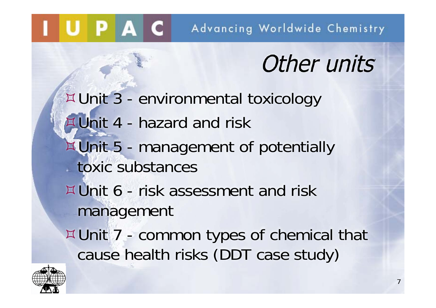### Other units

Unit 3 - environmental toxicology Unit 4 - hazard and risk Unit 5 - management of potentially toxic substances Unit 6 - risk assessment and risk management Unit 7 - common types of chemical that cause health risks (DDT case study)



UPAC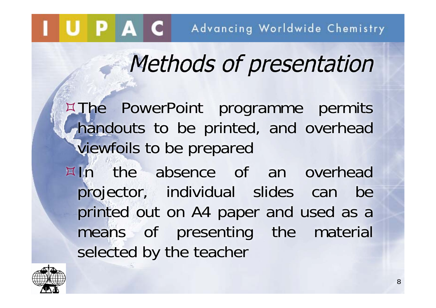## Methods of presentation

¤The PowerPoint programme permits handouts to be printed, and overhead viewfoils to be prepared In the absence of an overhead projector, individual slides can be printed out on A4 paper and used as a means of presenting the material selected by the teacher

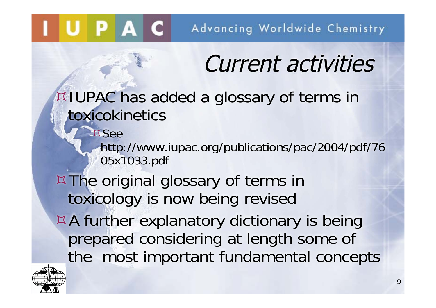## Current activities

IUPAC has added a glossary of terms in toxicokinetics

http://www.iupac.org/publications/pac/2004/pdf/76 05x1033.pdf

 $\overline{\mathbb{Z}}$  The original glossary of terms in toxicology is now being revised A further explanatory dictionary is being prepared considering at length some of the most important fundamental concepts



**¤See** 

UPAC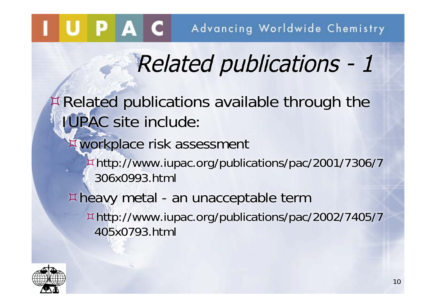# Related publications - 1

Related publications available through the IUPAC site include:

### workplace risk assessment

http://www.iupac.org/publications/pac/2001/7306/7 306x0993.html

heavy metal - an unacceptable term http://www.iupac.org/publications/pac/2002/7405/7 405x0793.html

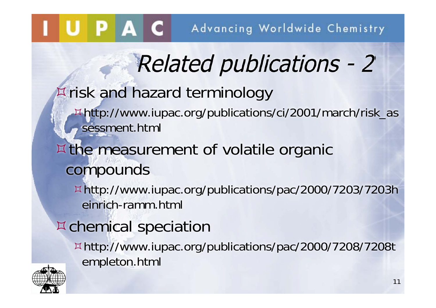# Related publications - 2

### risk and hazard terminology

http://www.iupac.org/publications/ci/2001/march/risk\_as sessment.html

### ¤ the measurement of volatile organic compounds

http://www.iupac.org/publications/pac/2000/7203/7203h einrich-ramm.html

### chemical speciation

http://www.iupac.org/publications/pac/2000/7208/7208t empleton.html

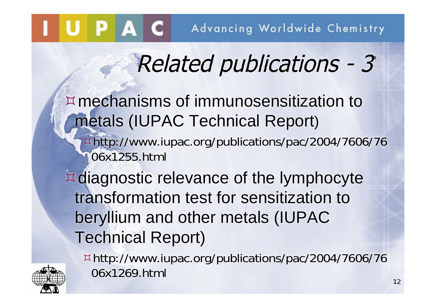# Related publications - 3

mechanisms of immunosensitization to metals (IUPAC Technical Report)

http://www.iupac.org/publications/pac/2004/7606/76 06x1255.html

¤ diagnostic relevance of the lymphocyte transformation test for sensitization to beryllium and other metals (IUPAC Technical Report)

http://www.iupac.org/publications/pac/2004/7606/76 06x1269.html

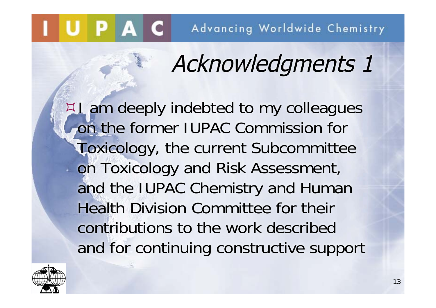# Acknowledgments 1

**I am deeply indebted to my colleagues** on the former IUPAC Commission for Toxicology, the current Subcommittee on Toxicology and Risk Assessment, and the IUPAC Chemistry and Human Health Division Committee for their contributions to the work described and for continuing constructive support